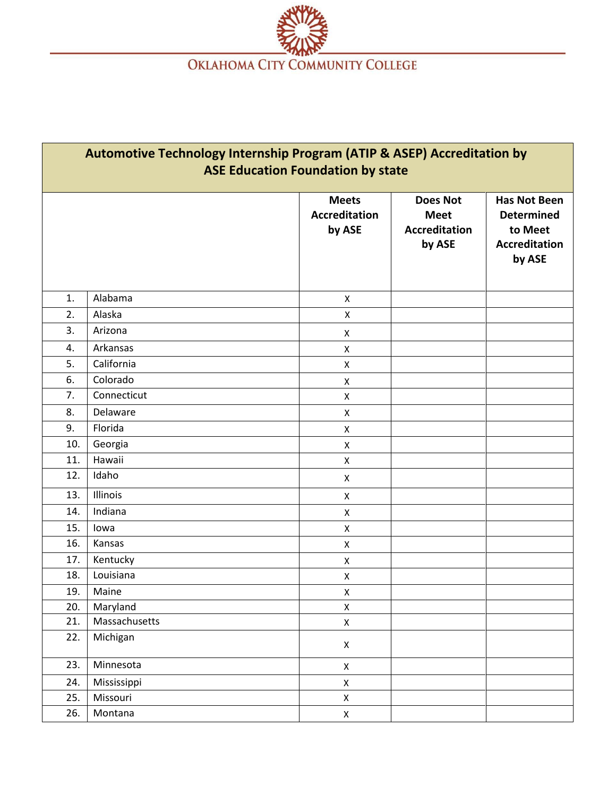

| Automotive Technology Internship Program (ATIP & ASEP) Accreditation by<br><b>ASE Education Foundation by state</b> |               |                                                |                                                                  |                                                                                       |  |  |
|---------------------------------------------------------------------------------------------------------------------|---------------|------------------------------------------------|------------------------------------------------------------------|---------------------------------------------------------------------------------------|--|--|
|                                                                                                                     |               | <b>Meets</b><br><b>Accreditation</b><br>by ASE | <b>Does Not</b><br><b>Meet</b><br><b>Accreditation</b><br>by ASE | <b>Has Not Been</b><br><b>Determined</b><br>to Meet<br><b>Accreditation</b><br>by ASE |  |  |
| 1.                                                                                                                  | Alabama       | $\mathsf{x}$                                   |                                                                  |                                                                                       |  |  |
| 2.                                                                                                                  | Alaska        | X                                              |                                                                  |                                                                                       |  |  |
| 3.                                                                                                                  | Arizona       |                                                |                                                                  |                                                                                       |  |  |
| 4.                                                                                                                  | Arkansas      | X<br>X                                         |                                                                  |                                                                                       |  |  |
| 5.                                                                                                                  | California    | X                                              |                                                                  |                                                                                       |  |  |
| 6.                                                                                                                  | Colorado      | X                                              |                                                                  |                                                                                       |  |  |
| 7.                                                                                                                  | Connecticut   | X                                              |                                                                  |                                                                                       |  |  |
| 8.                                                                                                                  | Delaware      | $\pmb{\mathsf{X}}$                             |                                                                  |                                                                                       |  |  |
| 9.                                                                                                                  | Florida       | X                                              |                                                                  |                                                                                       |  |  |
| 10.                                                                                                                 | Georgia       | X                                              |                                                                  |                                                                                       |  |  |
| 11.                                                                                                                 | Hawaii        | X                                              |                                                                  |                                                                                       |  |  |
| 12.                                                                                                                 | Idaho         | X                                              |                                                                  |                                                                                       |  |  |
| 13.                                                                                                                 | Illinois      | X                                              |                                                                  |                                                                                       |  |  |
| 14.                                                                                                                 | Indiana       | X                                              |                                                                  |                                                                                       |  |  |
| 15.                                                                                                                 | lowa          | X                                              |                                                                  |                                                                                       |  |  |
| 16.                                                                                                                 | Kansas        | X                                              |                                                                  |                                                                                       |  |  |
| 17.                                                                                                                 | Kentucky      | X                                              |                                                                  |                                                                                       |  |  |
| 18.                                                                                                                 | Louisiana     | X                                              |                                                                  |                                                                                       |  |  |
| 19.                                                                                                                 | Maine         | X                                              |                                                                  |                                                                                       |  |  |
| 20.                                                                                                                 | Maryland      | X                                              |                                                                  |                                                                                       |  |  |
| 21.                                                                                                                 | Massachusetts | $\mathsf X$                                    |                                                                  |                                                                                       |  |  |
| 22.                                                                                                                 | Michigan      | $\mathsf X$                                    |                                                                  |                                                                                       |  |  |
| 23.                                                                                                                 | Minnesota     | $\pmb{\mathsf{X}}$                             |                                                                  |                                                                                       |  |  |
| 24.                                                                                                                 | Mississippi   | $\mathsf X$                                    |                                                                  |                                                                                       |  |  |
| 25.                                                                                                                 | Missouri      | $\mathsf X$                                    |                                                                  |                                                                                       |  |  |
| 26.                                                                                                                 | Montana       | $\mathsf X$                                    |                                                                  |                                                                                       |  |  |